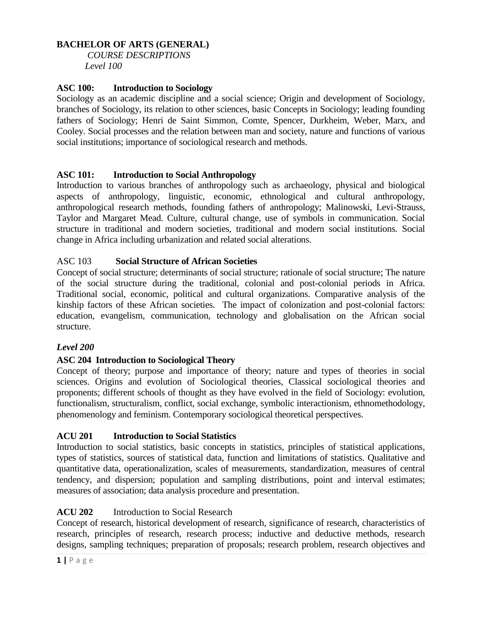### **BACHELOR OF ARTS (GENERAL)**

*COURSE DESCRIPTIONS Level 100*

### **ASC 100: Introduction to Sociology**

Sociology as an academic discipline and a social science; Origin and development of Sociology, branches of Sociology, its relation to other sciences, basic Concepts in Sociology; leading founding fathers of Sociology; Henri de Saint Simmon, Comte, Spencer, Durkheim, Weber, Marx, and Cooley. Social processes and the relation between man and society, nature and functions of various social institutions; importance of sociological research and methods.

### **ASC 101: Introduction to Social Anthropology**

Introduction to various branches of anthropology such as archaeology, physical and biological aspects of anthropology, linguistic, economic, ethnological and cultural anthropology, anthropological research methods, founding fathers of anthropology; Malinowski, Levi-Strauss, Taylor and Margaret Mead. Culture, cultural change, use of symbols in communication. Social structure in traditional and modern societies, traditional and modern social institutions. Social change in Africa including urbanization and related social alterations.

### ASC 103 **Social Structure of African Societies**

Concept of social structure; determinants of social structure; rationale of social structure; The nature of the social structure during the traditional, colonial and post-colonial periods in Africa. Traditional social, economic, political and cultural organizations. Comparative analysis of the kinship factors of these African societies. The impact of colonization and post-colonial factors: education, evangelism, communication, technology and globalisation on the African social structure.

#### *Level 200*

#### **ASC 204 Introduction to Sociological Theory**

Concept of theory; purpose and importance of theory; nature and types of theories in social sciences. Origins and evolution of Sociological theories, Classical sociological theories and proponents; different schools of thought as they have evolved in the field of Sociology: evolution, functionalism, structuralism, conflict, social exchange, symbolic interactionism, ethnomethodology, phenomenology and feminism. Contemporary sociological theoretical perspectives.

#### **ACU 201 Introduction to Social Statistics**

Introduction to social statistics, basic concepts in statistics, principles of statistical applications, types of statistics, sources of statistical data, function and limitations of statistics. Qualitative and quantitative data, operationalization, scales of measurements, standardization, measures of central tendency, and dispersion; population and sampling distributions, point and interval estimates; measures of association; data analysis procedure and presentation.

### **ACU 202** Introduction to Social Research

Concept of research, historical development of research, significance of research, characteristics of research, principles of research, research process; inductive and deductive methods, research designs, sampling techniques; preparation of proposals; research problem, research objectives and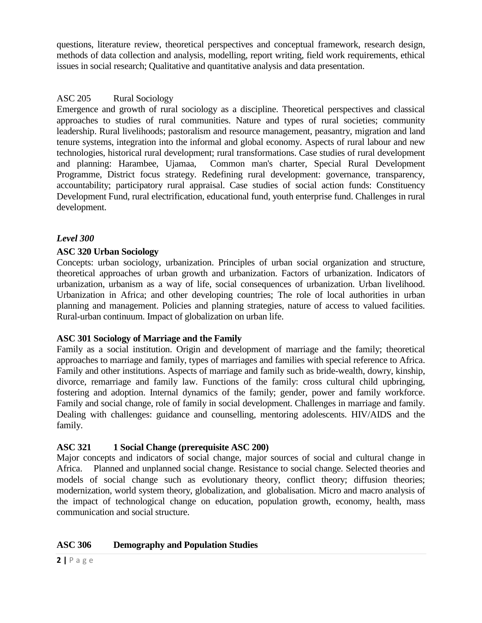questions, literature review, theoretical perspectives and conceptual framework, research design, methods of data collection and analysis, modelling, report writing, field work requirements, ethical issues in social research; Qualitative and quantitative analysis and data presentation.

### ASC 205 Rural Sociology

Emergence and growth of rural sociology as a discipline. Theoretical perspectives and classical approaches to studies of rural communities. Nature and types of rural societies; community leadership. Rural livelihoods; pastoralism and resource management, peasantry, migration and land tenure systems, integration into the informal and global economy. Aspects of rural labour and new technologies, historical rural development; rural transformations. Case studies of rural development and planning: Harambee, Ujamaa, Common man's charter, Special Rural Development Programme, District focus strategy. Redefining rural development: governance, transparency, accountability; participatory rural appraisal. Case studies of social action funds: Constituency Development Fund, rural electrification, educational fund, youth enterprise fund. Challenges in rural development.

### *Level 300*

### **ASC 320 Urban Sociology**

Concepts: urban sociology, urbanization. Principles of urban social organization and structure, theoretical approaches of urban growth and urbanization. Factors of urbanization. Indicators of urbanization, urbanism as a way of life, social consequences of urbanization. Urban livelihood. Urbanization in Africa; and other developing countries; The role of local authorities in urban planning and management. Policies and planning strategies, nature of access to valued facilities. Rural-urban continuum. Impact of globalization on urban life.

#### **ASC 301 Sociology of Marriage and the Family**

Family as a social institution. Origin and development of marriage and the family; theoretical approaches to marriage and family, types of marriages and families with special reference to Africa. Family and other institutions. Aspects of marriage and family such as bride-wealth, dowry, kinship, divorce, remarriage and family law. Functions of the family: cross cultural child upbringing, fostering and adoption. Internal dynamics of the family; gender, power and family workforce. Family and social change, role of family in social development. Challenges in marriage and family. Dealing with challenges: guidance and counselling, mentoring adolescents. HIV/AIDS and the family.

### **ASC 321 1 Social Change (prerequisite ASC 200)**

Major concepts and indicators of social change, major sources of social and cultural change in Africa. Planned and unplanned social change. Resistance to social change. Selected theories and models of social change such as evolutionary theory, conflict theory; diffusion theories; modernization, world system theory, globalization, and globalisation. Micro and macro analysis of the impact of technological change on education, population growth, economy, health, mass communication and social structure.

### **ASC 306 Demography and Population Studies**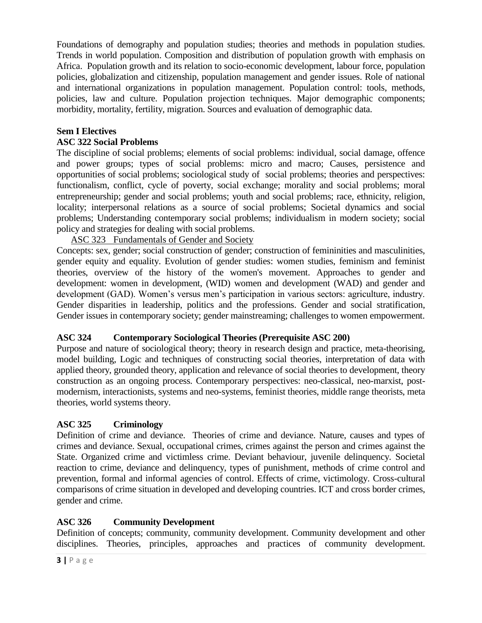Foundations of demography and population studies; theories and methods in population studies. Trends in world population. Composition and distribution of population growth with emphasis on Africa. Population growth and its relation to socio-economic development, labour force, population policies, globalization and citizenship, population management and gender issues. Role of national and international organizations in population management. Population control: tools, methods, policies, law and culture. Population projection techniques. Major demographic components; morbidity, mortality, fertility, migration. Sources and evaluation of demographic data.

# **Sem I Electives**

### **ASC 322 Social Problems**

The discipline of social problems; elements of social problems: individual, social damage, offence and power groups; types of social problems: micro and macro; Causes, persistence and opportunities of social problems; sociological study of social problems; theories and perspectives: functionalism, conflict, cycle of poverty, social exchange; morality and social problems; moral entrepreneurship; gender and social problems; youth and social problems; race, ethnicity, religion, locality; interpersonal relations as a source of social problems; Societal dynamics and social problems; Understanding contemporary social problems; individualism in modern society; social policy and strategies for dealing with social problems.

# ASC 323 Fundamentals of Gender and Society

Concepts: sex, gender; social construction of gender; construction of femininities and masculinities, gender equity and equality. Evolution of gender studies: women studies, feminism and feminist theories, overview of the history of the women's movement. Approaches to gender and development: women in development, (WID) women and development (WAD) and gender and development (GAD). Women's versus men's participation in various sectors: agriculture, industry. Gender disparities in leadership, politics and the professions. Gender and social stratification, Gender issues in contemporary society; gender mainstreaming; challenges to women empowerment.

### **ASC 324 Contemporary Sociological Theories (Prerequisite ASC 200)**

Purpose and nature of sociological theory; theory in research design and practice, meta-theorising, model building, Logic and techniques of constructing social theories, interpretation of data with applied theory, grounded theory, application and relevance of social theories to development, theory construction as an ongoing process. Contemporary perspectives: neo-classical, neo-marxist, postmodernism, interactionists, systems and neo-systems, feminist theories, middle range theorists, meta theories, world systems theory.

# **ASC 325 Criminology**

Definition of crime and deviance. Theories of crime and deviance. Nature, causes and types of crimes and deviance. Sexual, occupational crimes, crimes against the person and crimes against the State. Organized crime and victimless crime. Deviant behaviour, juvenile delinquency. Societal reaction to crime, deviance and delinquency, types of punishment, methods of crime control and prevention, formal and informal agencies of control. Effects of crime, victimology. Cross-cultural comparisons of crime situation in developed and developing countries. ICT and cross border crimes, gender and crime.

### **ASC 326 Community Development**

Definition of concepts; community, community development. Community development and other disciplines. Theories, principles, approaches and practices of community development.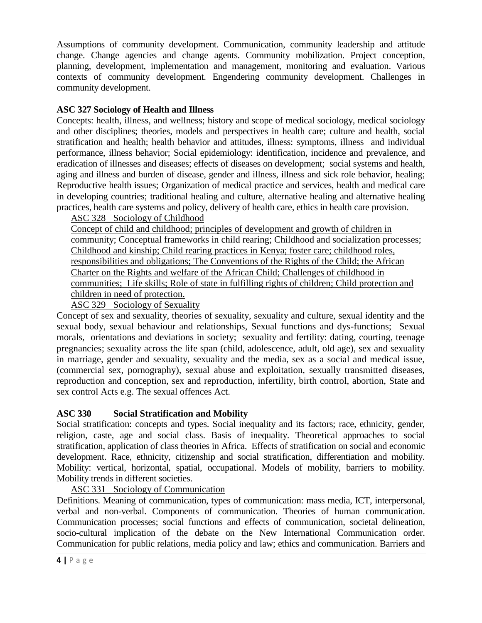Assumptions of community development. Communication, community leadership and attitude change. Change agencies and change agents. Community mobilization. Project conception, planning, development, implementation and management, monitoring and evaluation. Various contexts of community development. Engendering community development. Challenges in community development.

# **ASC 327 Sociology of Health and Illness**

Concepts: health, illness, and wellness; history and scope of medical sociology, medical sociology and other disciplines; theories, models and perspectives in health care; culture and health, social stratification and health; health behavior and attitudes, illness: symptoms, illness and individual performance, illness behavior; Social epidemiology: identification, incidence and prevalence, and eradication of illnesses and diseases; effects of diseases on development; social systems and health, aging and illness and burden of disease, gender and illness, illness and sick role behavior, healing; Reproductive health issues; Organization of medical practice and services, health and medical care in developing countries; traditional healing and culture, alternative healing and alternative healing practices, health care systems and policy, delivery of health care, ethics in health care provision.

ASC 328 Sociology of Childhood

Concept of child and childhood; principles of development and growth of children in community; Conceptual frameworks in child rearing; Childhood and socialization processes; Childhood and kinship; Child rearing practices in Kenya; foster care; childhood roles, responsibilities and obligations; The Conventions of the Rights of the Child; the African Charter on the Rights and welfare of the African Child; Challenges of childhood in communities; Life skills; Role of state in fulfilling rights of children; Child protection and children in need of protection.

ASC 329 Sociology of Sexuality

Concept of sex and sexuality, theories of sexuality, sexuality and culture, sexual identity and the sexual body, sexual behaviour and relationships, Sexual functions and dys-functions; Sexual morals, orientations and deviations in society; sexuality and fertility: dating, courting, teenage pregnancies; sexuality across the life span (child, adolescence, adult, old age), sex and sexuality in marriage, gender and sexuality, sexuality and the media, sex as a social and medical issue, (commercial sex, pornography), sexual abuse and exploitation, sexually transmitted diseases, reproduction and conception, sex and reproduction, infertility, birth control, abortion, State and sex control Acts e.g. The sexual offences Act.

# **ASC 330 Social Stratification and Mobility**

Social stratification: concepts and types. Social inequality and its factors; race, ethnicity, gender, religion, caste, age and social class. Basis of inequality. Theoretical approaches to social stratification, application of class theories in Africa. Effects of stratification on social and economic development. Race, ethnicity, citizenship and social stratification, differentiation and mobility. Mobility: vertical, horizontal, spatial, occupational. Models of mobility, barriers to mobility. Mobility trends in different societies.

### ASC 331 Sociology of Communication

Definitions. Meaning of communication, types of communication: mass media, ICT, interpersonal, verbal and non-verbal. Components of communication. Theories of human communication. Communication processes; social functions and effects of communication, societal delineation, socio-cultural implication of the debate on the New International Communication order. Communication for public relations, media policy and law; ethics and communication. Barriers and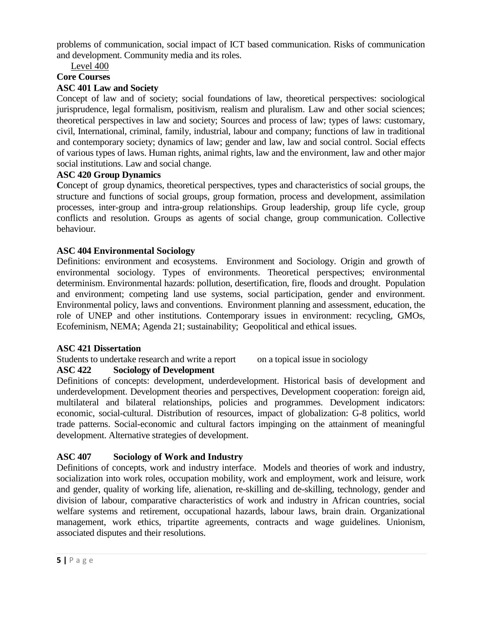problems of communication, social impact of ICT based communication. Risks of communication and development. Community media and its roles.

Level 400

# **Core Courses**

### **ASC 401 Law and Society**

Concept of law and of society; social foundations of law, theoretical perspectives: sociological jurisprudence, legal formalism, positivism, realism and pluralism. Law and other social sciences; theoretical perspectives in law and society; Sources and process of law; types of laws: customary, civil, International, criminal, family, industrial, labour and company; functions of law in traditional and contemporary society; dynamics of law; gender and law, law and social control. Social effects of various types of laws. Human rights, animal rights, law and the environment, law and other major social institutions. Law and social change.

### **ASC 420 Group Dynamics**

Concept of group dynamics, theoretical perspectives, types and characteristics of social groups, the structure and functions of social groups, group formation, process and development, assimilation processes, inter-group and intra-group relationships. Group leadership, group life cycle, group conflicts and resolution. Groups as agents of social change, group communication. Collective behaviour.

### **ASC 404 Environmental Sociology**

Definitions: environment and ecosystems. Environment and Sociology. Origin and growth of environmental sociology. Types of environments. Theoretical perspectives; environmental determinism. Environmental hazards: pollution, desertification, fire, floods and drought. Population and environment; competing land use systems, social participation, gender and environment. Environmental policy, laws and conventions. Environment planning and assessment, education, the role of UNEP and other institutions. Contemporary issues in environment: recycling, GMOs, Ecofeminism, NEMA; Agenda 21; sustainability; Geopolitical and ethical issues.

### **ASC 421 Dissertation**

Students to undertake research and write a report on a topical issue in sociology

### **ASC 422 Sociology of Development**

Definitions of concepts: development, underdevelopment. Historical basis of development and underdevelopment. Development theories and perspectives, Development cooperation: foreign aid, multilateral and bilateral relationships, policies and programmes. Development indicators: economic, social-cultural. Distribution of resources, impact of globalization: G-8 politics, world trade patterns. Social-economic and cultural factors impinging on the attainment of meaningful development. Alternative strategies of development.

# **ASC 407 Sociology of Work and Industry**

Definitions of concepts, work and industry interface. Models and theories of work and industry, socialization into work roles, occupation mobility, work and employment, work and leisure, work and gender, quality of working life, alienation, re-skilling and de-skilling, technology, gender and division of labour, comparative characteristics of work and industry in African countries, social welfare systems and retirement, occupational hazards, labour laws, brain drain. Organizational management, work ethics, tripartite agreements, contracts and wage guidelines. Unionism, associated disputes and their resolutions.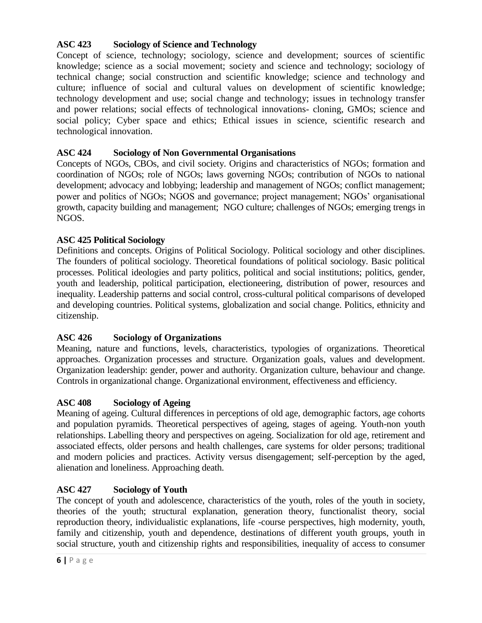# **ASC 423 Sociology of Science and Technology**

Concept of science, technology; sociology, science and development; sources of scientific knowledge; science as a social movement; society and science and technology; sociology of technical change; social construction and scientific knowledge; science and technology and culture; influence of social and cultural values on development of scientific knowledge; technology development and use; social change and technology; issues in technology transfer and power relations; social effects of technological innovations- cloning, GMOs; science and social policy; Cyber space and ethics; Ethical issues in science, scientific research and technological innovation.

# **ASC 424 Sociology of Non Governmental Organisations**

Concepts of NGOs, CBOs, and civil society. Origins and characteristics of NGOs; formation and coordination of NGOs; role of NGOs; laws governing NGOs; contribution of NGOs to national development; advocacy and lobbying; leadership and management of NGOs; conflict management; power and politics of NGOs; NGOS and governance; project management; NGOs' organisational growth, capacity building and management; NGO culture; challenges of NGOs; emerging trengs in NGOS.

# **ASC 425 Political Sociology**

Definitions and concepts. Origins of Political Sociology. Political sociology and other disciplines. The founders of political sociology. Theoretical foundations of political sociology. Basic political processes. Political ideologies and party politics, political and social institutions; politics, gender, youth and leadership, political participation, electioneering, distribution of power, resources and inequality. Leadership patterns and social control, cross-cultural political comparisons of developed and developing countries. Political systems, globalization and social change. Politics, ethnicity and citizenship.

# **ASC 426 Sociology of Organizations**

Meaning, nature and functions, levels, characteristics, typologies of organizations. Theoretical approaches. Organization processes and structure. Organization goals, values and development. Organization leadership: gender, power and authority. Organization culture, behaviour and change. Controls in organizational change. Organizational environment, effectiveness and efficiency.

### **ASC 408 Sociology of Ageing**

Meaning of ageing. Cultural differences in perceptions of old age, demographic factors, age cohorts and population pyramids. Theoretical perspectives of ageing, stages of ageing. Youth-non youth relationships. Labelling theory and perspectives on ageing. Socialization for old age, retirement and associated effects, older persons and health challenges, care systems for older persons; traditional and modern policies and practices. Activity versus disengagement; self-perception by the aged, alienation and loneliness. Approaching death.

# **ASC 427 Sociology of Youth**

The concept of youth and adolescence, characteristics of the youth, roles of the youth in society, theories of the youth; structural explanation, generation theory, functionalist theory, social reproduction theory, individualistic explanations, life -course perspectives, high modernity, youth, family and citizenship, youth and dependence, destinations of different youth groups, youth in social structure, youth and citizenship rights and responsibilities, inequality of access to consumer